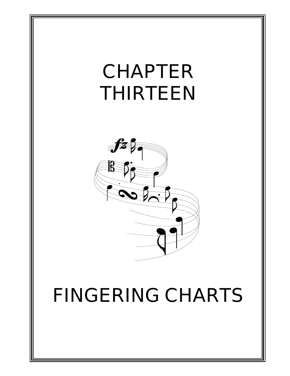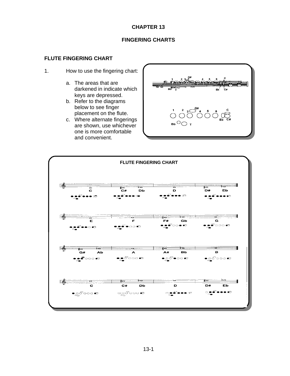## **CHAPTER 13**

#### **FINGERING CHARTS**

## **FLUTE FINGERING CHART**

- 1. How to use the fingering chart:
	- a. The areas that are darkened in indicate which keys are depressed.
	- b. Refer to the diagrams below to see finger placement on the flute.
	- c. Where alternate fingerings are shown, use whichever one is more comfortable and convenient.



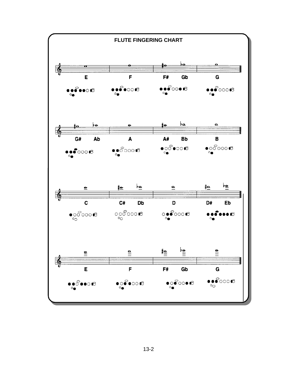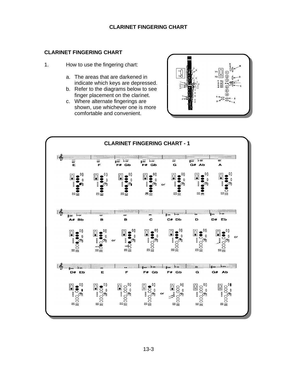## **CLARINET FINGERING CHART**

- 1. How to use the fingering chart:
	- a. The areas that are darkened in indicate which keys are depressed.
	- b. Refer to the diagrams below to see finger placement on the clarinet.
	- c. Where alternate fingerings are shown, use whichever one is more comfortable and convenient.



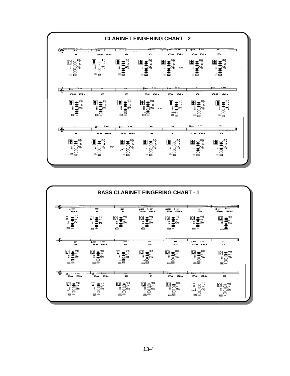

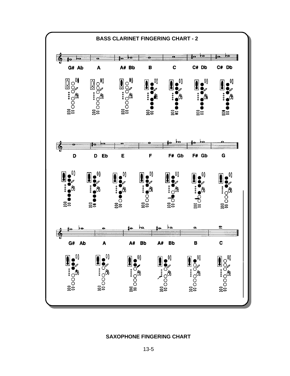

#### **SAXOPHONE FINGERING CHART**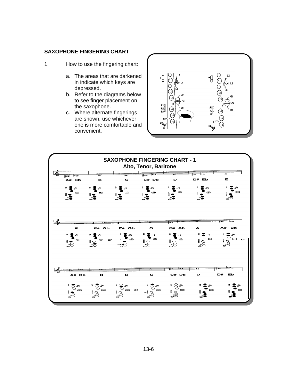## **SAXOPHONE FINGERING CHART**

- 1. How to use the fingering chart:
	- a. The areas that are darkened in indicate which keys are depressed.
	- b. Refer to the diagrams below to see finger placement on the saxophone.
	- c. Where alternate fingerings are shown, use whichever one is more comfortable and convenient.



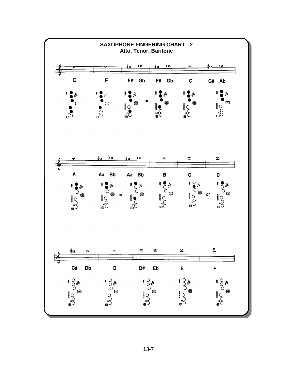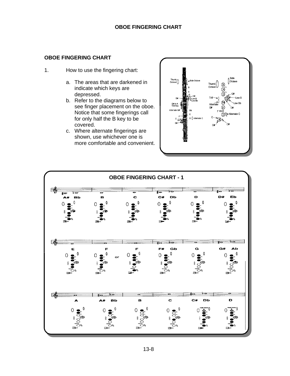### **OBOE FINGERING CHART**

- 1. How to use the fingering chart:
	- a. The areas that are darkened in indicate which keys are depressed.
	- b. Refer to the diagrams below to see finger placement on the oboe. Notice that some fingerings call for only half the B key to be covered.
	- c. Where alternate fingerings are shown, use whichever one is more comfortable and convenient.



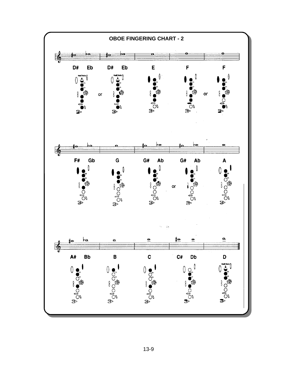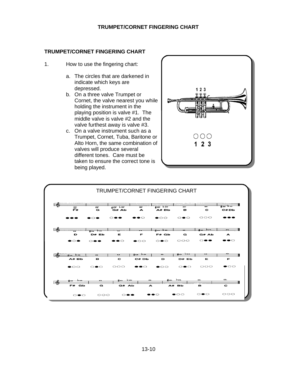#### **TRUMPET/CORNET FINGERING CHART**

#### **TRUMPET/CORNET FINGERING CHART**

- 1. How to use the fingering chart:
	- a. The circles that are darkened in indicate which keys are depressed.
	- b. On a three valve Trumpet or Cornet, the valve nearest you while holding the instrument in the playing position is valve #1. The middle valve is valve #2 and the valve furthest away is valve #3.
	- c. On a valve instrument such as a Trumpet, Cornet, Tuba, Baritone or Alto Horn, the same combination of valves will produce several different tones. Care must be taken to ensure the correct tone is being played.



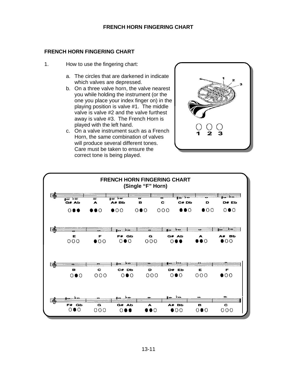#### **FRENCH HORN FINGERING CHART**

#### **FRENCH HORN FINGERING CHART**

- 1. How to use the fingering chart:
	- a. The circles that are darkened in indicate which valves are depressed.
	- b. On a three valve horn, the valve nearest you while holding the instrument (or the one you place your index finger on) in the playing position is valve #1. The middle valve is valve #2 and the valve furthest away is valve #3. The French Horn is played with the left hand.
	- c. On a valve instrument such as a French Horn, the same combination of valves will produce several different tones. Care must be taken to ensure the correct tone is being played.



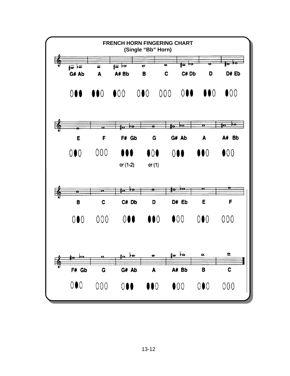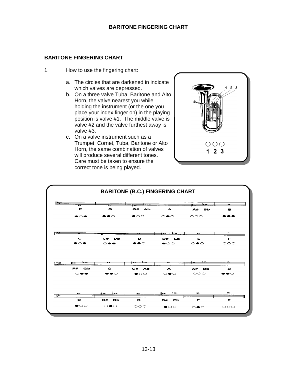#### **BARITONE FINGERING CHART**

## **BARITONE FINGERING CHART**

- 1. How to use the fingering chart:
	- a. The circles that are darkened in indicate which valves are depressed.
	- b. On a three valve Tuba, Baritone and Alto Horn, the valve nearest you while holding the instrument (or the one you place your index finger on) in the playing position is valve #1. The middle valve is valve #2 and the valve furthest away is valve #3.
	- c. On a valve instrument such as a Trumpet, Cornet, Tuba, Baritone or Alto Horn, the same combination of valves will produce several different tones. Care must be taken to ensure the correct tone is being played.



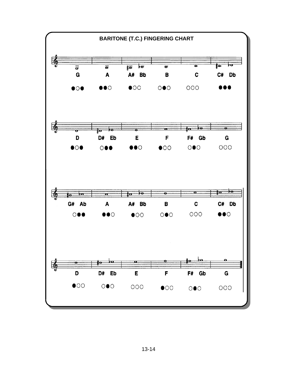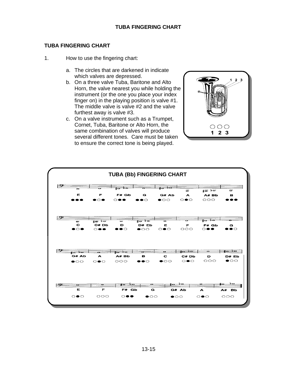### **TUBA FINGERING CHART**

- 1. How to use the fingering chart:
	- a. The circles that are darkened in indicate which valves are depressed.
	- b. On a three valve Tuba, Baritone and Alto Horn, the valve nearest you while holding the instrument (or the one you place your index finger on) in the playing position is valve #1. The middle valve is valve #2 and the valve furthest away is valve #3.
	- c. On a valve instrument such as a Trumpet, Cornet, Tuba, Baritone or Alto Horn, the same combination of valves will produce several different tones. Care must be taken to ensure the correct tone is being played.



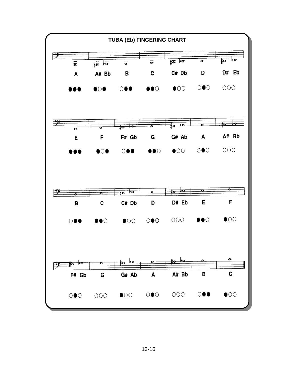